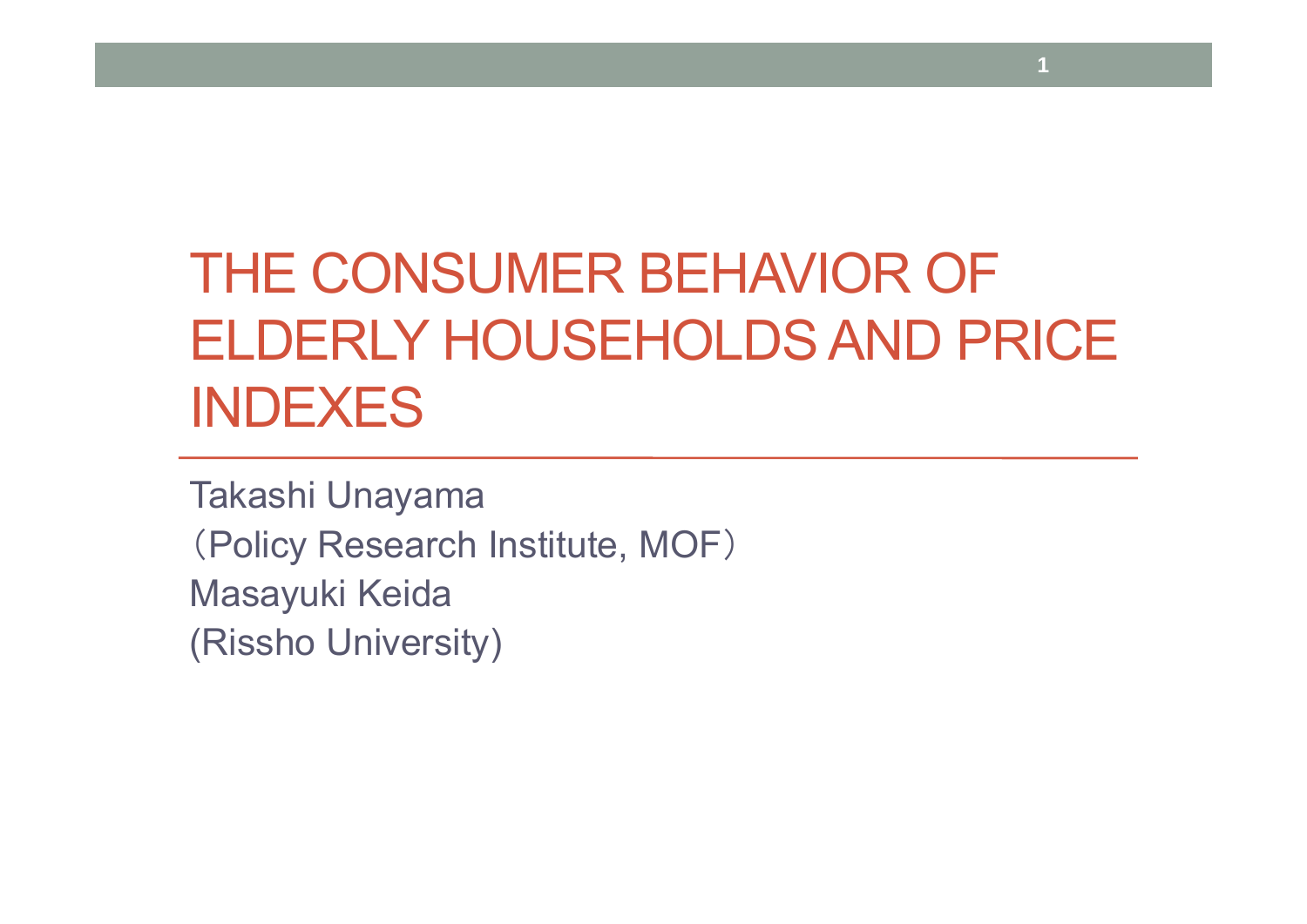# THE CONSUMER BEHAVIOR OF ELDERLY HOUSEHOLDS AND PRICE INDEXES

**1**

Takashi Unayama (Policy Research Institute, MOF ) Masayuki Keida (Rissho University)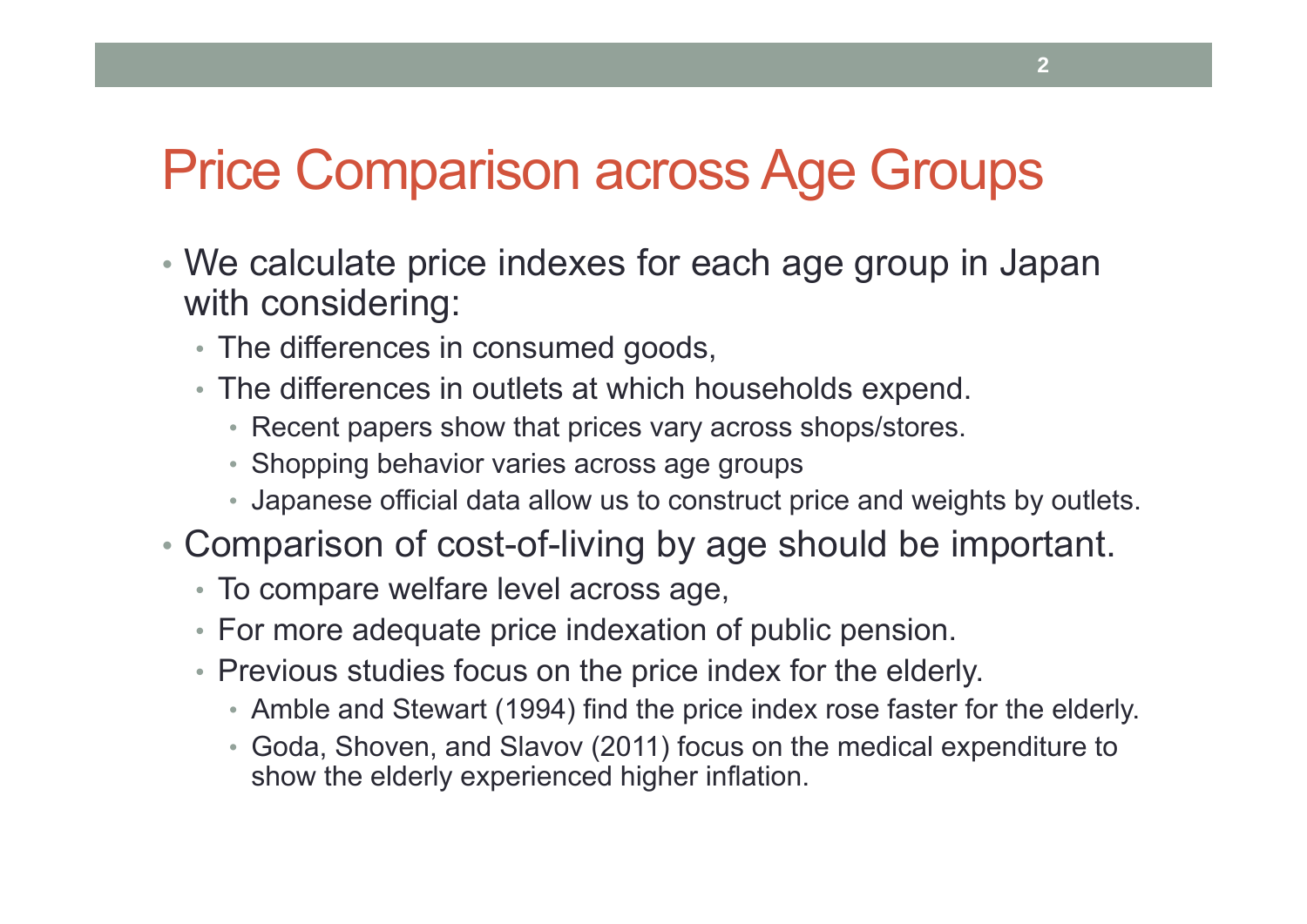#### Price Comparison across Age Groups

- We calculate price indexes for each age group in Japan with considering:
	- The differences in consumed goods,
	- The differences in outlets at which households expend.
		- Recent papers show that prices vary across shops/stores.
		- Shopping behavior varies across age groups
		- Japanese official data allow us to construct price and weights by outlets.
- Comparison of cost-of-living by age should be important.
	- To compare welfare level across age,
	- For more adequate price indexation of public pension.
	- Previous studies focus on the price index for the elderly.
		- Amble and Stewart (1994) find the price index rose faster for the elderly.
		- Goda, Shoven, and Slavov (2011) focus on the medical expenditure to show the elderly experienced higher inflation.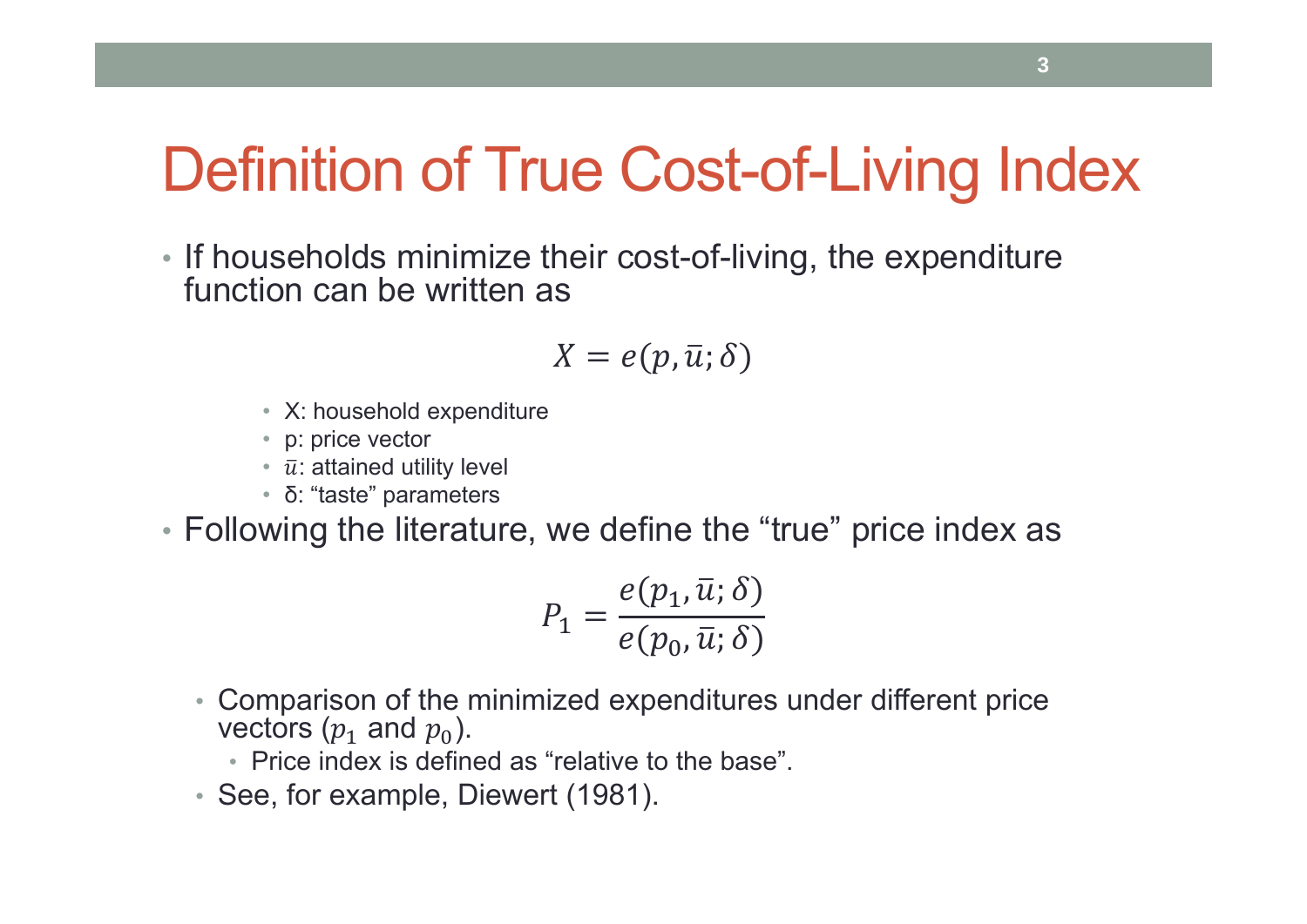## Definition of True Cost-of-Living Index

• If households minimize their cost-of-living, the expenditure function can be written as

$$
X=e(p,\bar{u};\delta)
$$

- X: household expenditure
- p: price vector
- $\bar{u}$ : attained utility level
- δ: "taste" parameters
- Following the literature, we define the "true" price index as

$$
P_1 = \frac{e(p_1, \bar{u}; \delta)}{e(p_0, \bar{u}; \delta)}
$$

• Comparison of the minimized expenditures under different price vectors  $(p_1 \text{ and } p_0).$ 

• Price index is defined as "relative to the base".

• See, for example, Diewert (1981).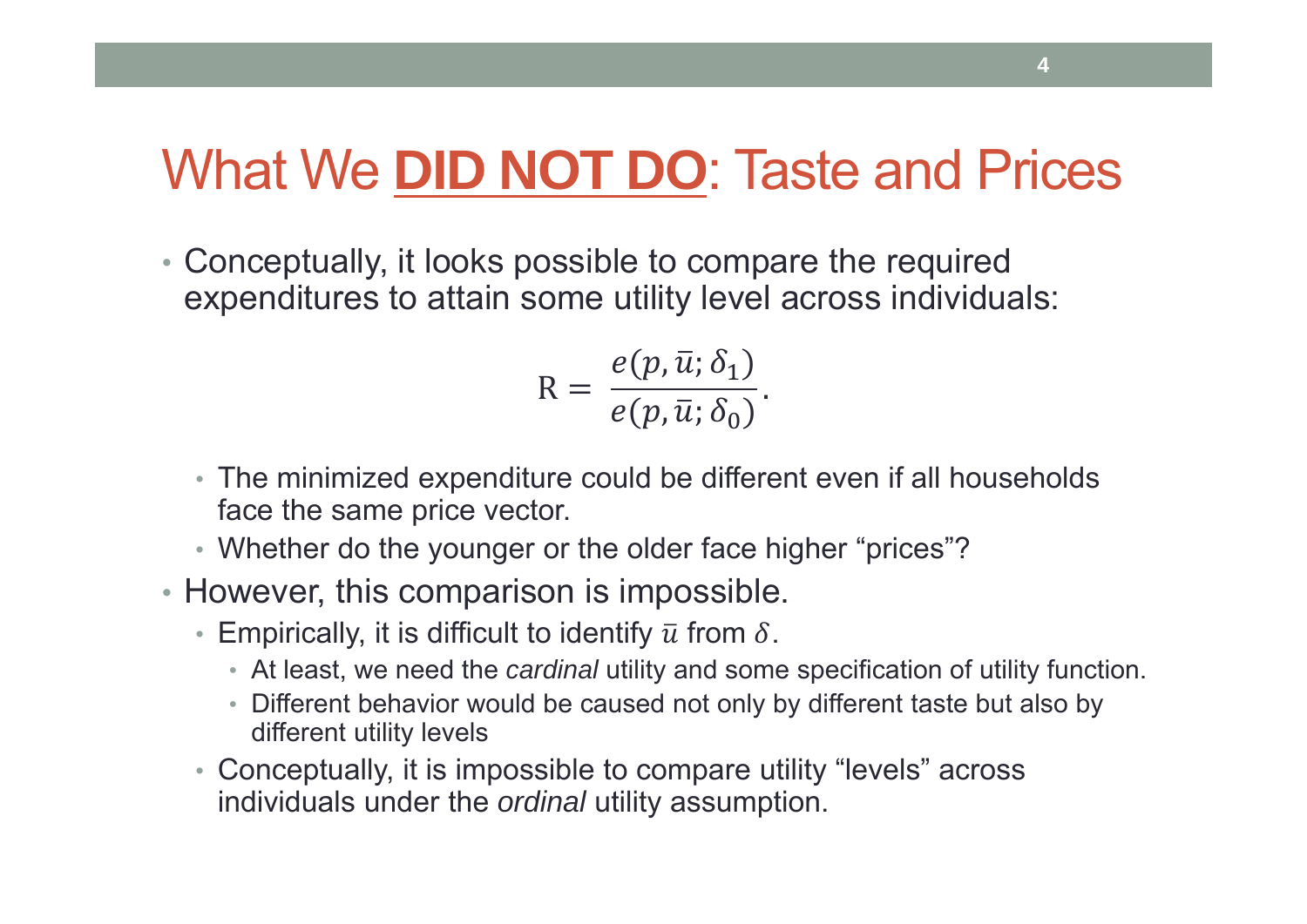#### What We **DID NOT DO**: Taste and Prices

• Conceptually, it looks possible to compare the required expenditures to attain some utility level across individuals:

$$
R = \frac{e(p, \bar{u}; \delta_1)}{e(p, \bar{u}; \delta_0)}.
$$

- The minimized expenditure could be different even if all households face the same price vector.
- Whether do the younger or the older face higher "prices"?
- However, this comparison is impossible.
	- $\bullet\,$  Empirically, it is difficult to identify  $\bar u$  from  $\delta.$ 
		- At least, we need the *cardinal* utility and some specification of utility function.
		- Different behavior would be caused not only by different taste but also by different utility levels
	- Conceptually, it is impossible to compare utility "levels" across individuals under the *ordinal* utility assumption.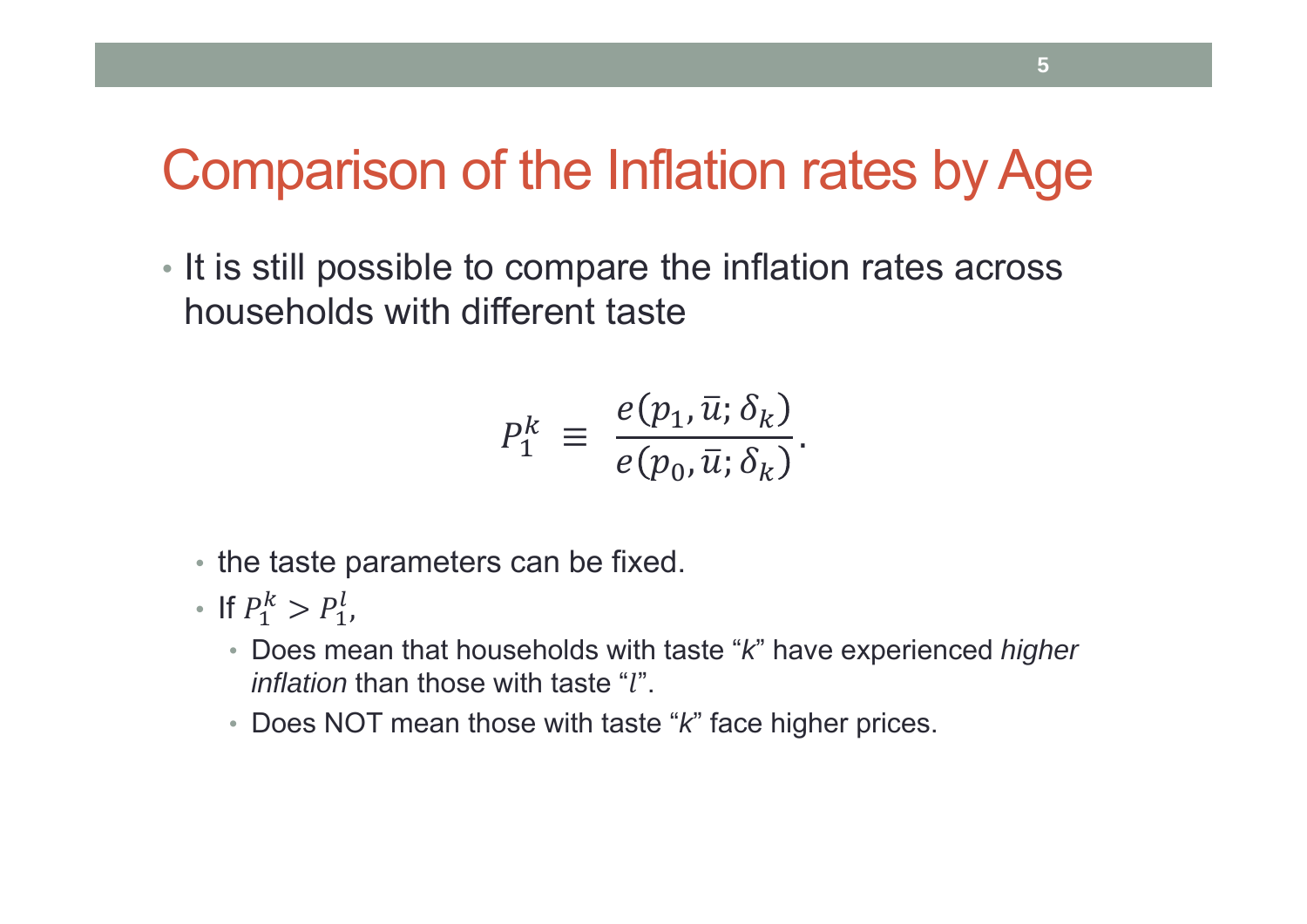#### Comparison of the Inflation rates by Age

• It is still possible to compare the inflation rates across households with different taste

$$
P_1^k \equiv \frac{e(p_1, \bar{u}; \delta_k)}{e(p_0, \bar{u}; \delta_k)}.
$$

- the taste parameters can be fixed.
- If  $P_1^k > P_1^l$ ,
	- Does mean that households with taste " *k*" have experienced *higher inflation* than those with taste "l".
	- Does NOT mean those with taste " *k*" face higher prices.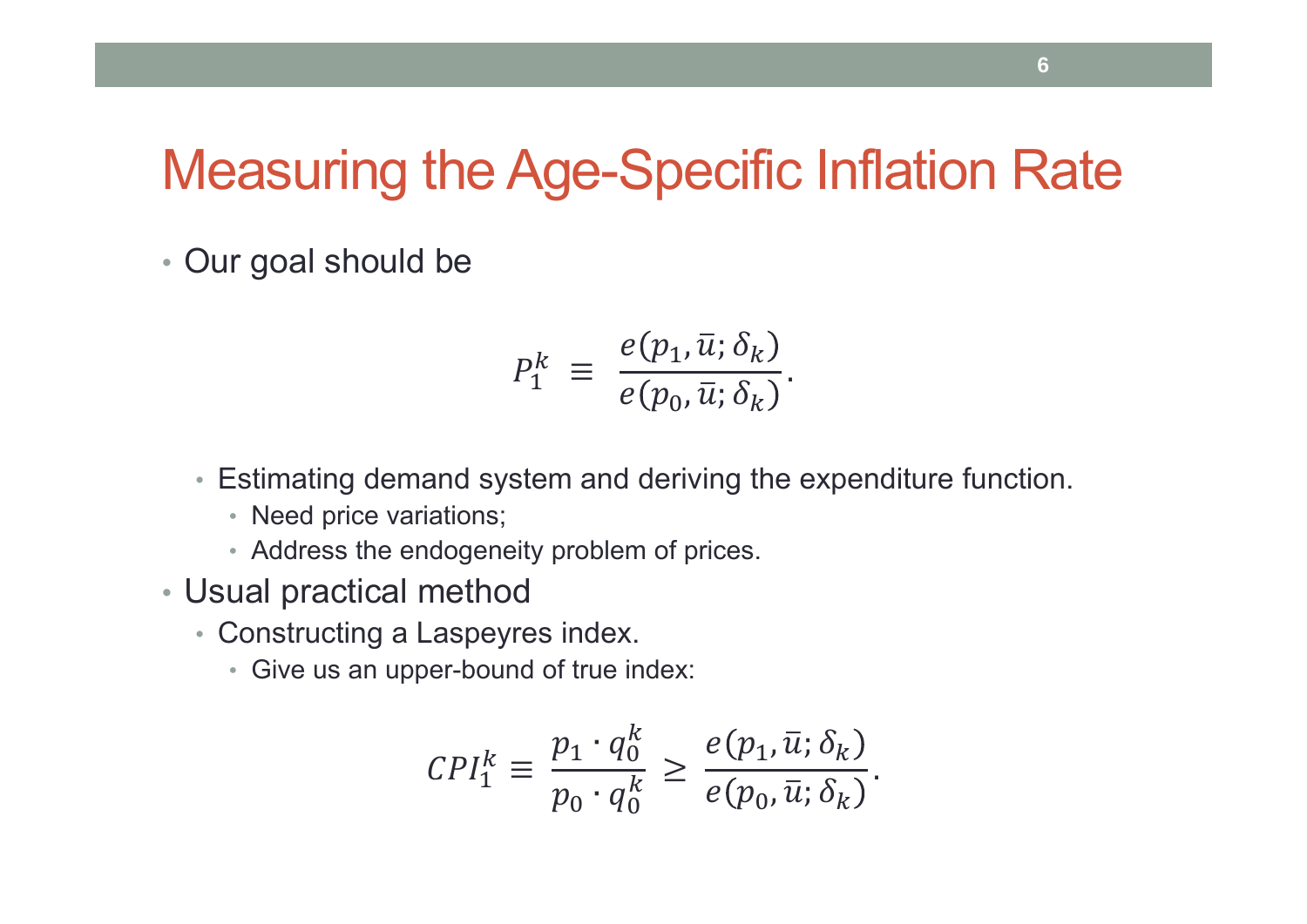#### Measuring the Age-Specific Inflation Rate

• Our goal should be

$$
P_1^k \equiv \frac{e(p_1, \bar{u}; \delta_k)}{e(p_0, \bar{u}; \delta_k)}.
$$

- Estimating demand system and deriving the expenditure function.
	- Need price variations;
	- Address the endogeneity problem of prices.
- Usual practical method
	- Constructing a Laspeyres index.
		- Give us an upper-bound of true index:

$$
CPI_1^k \equiv \frac{p_1 \cdot q_0^k}{p_0 \cdot q_0^k} \ge \frac{e(p_1, \bar{u}; \delta_k)}{e(p_0, \bar{u}; \delta_k)}.
$$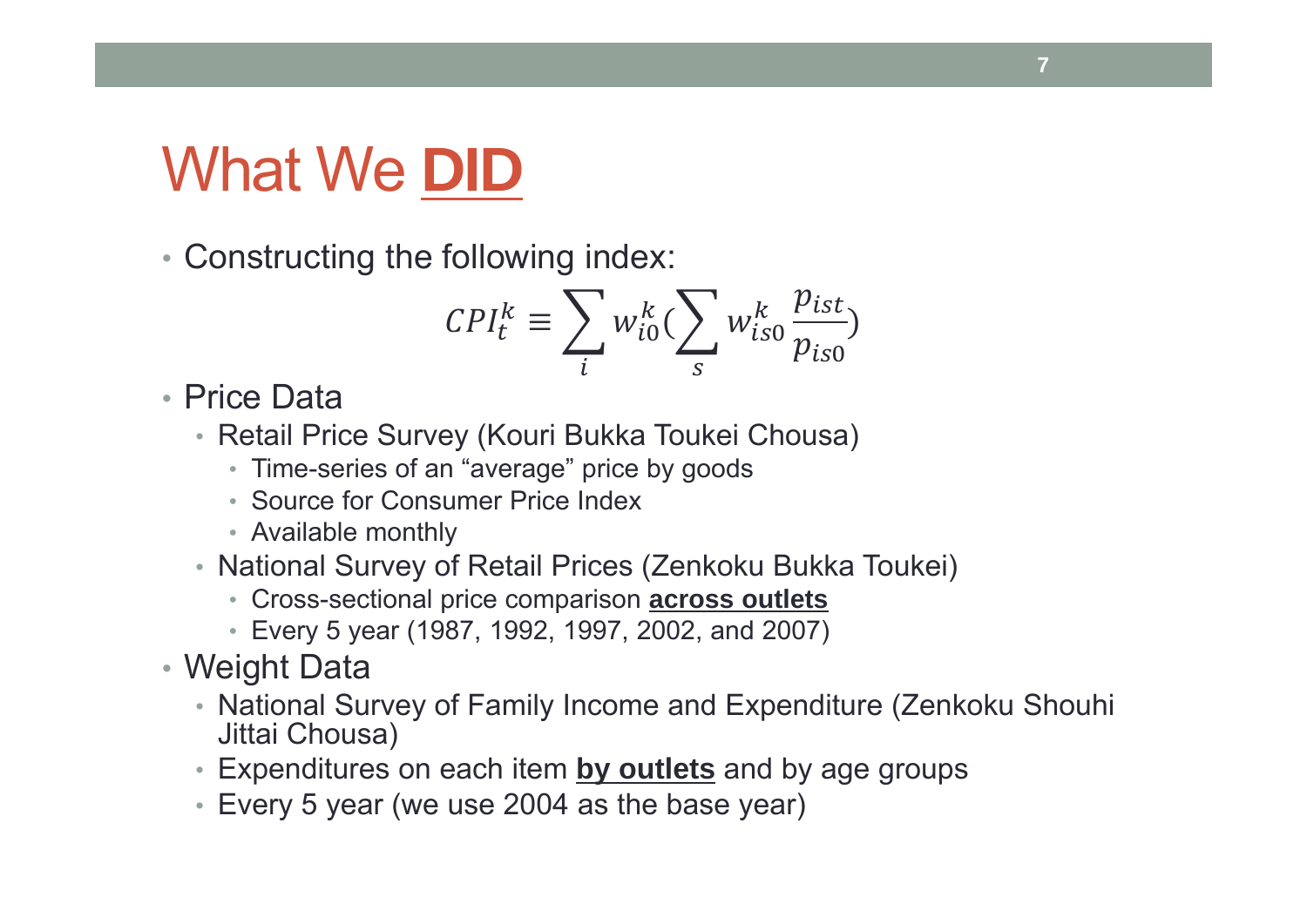# What We **DID**

• Constructing the following index:

$$
CPI_t^k \equiv \sum_i w_{i0}^k (\sum_s w_{is0}^k \frac{p_{ist}}{p_{is0}})
$$

• Price Data

- Retail Price Survey (Kouri Bukka Toukei Chousa)
	- Time-series of an "average" price by goods
	- Source for Consumer Price Index
	- Available monthly
- National Survey of Retail Prices (Zenkoku Bukka Toukei)
	- Cross-sectional price comparison **across outlets**
	- Every 5 year (1987, 1992, 1997, 2002, and 2007)
- Weight Data
	- National Survey of Family Income and Expenditure (Zenkoku Shouhi Jittai Chousa)
	- Expenditures on each item **by outlets** and by age groups
	- Every 5 year (we use 2004 as the base year)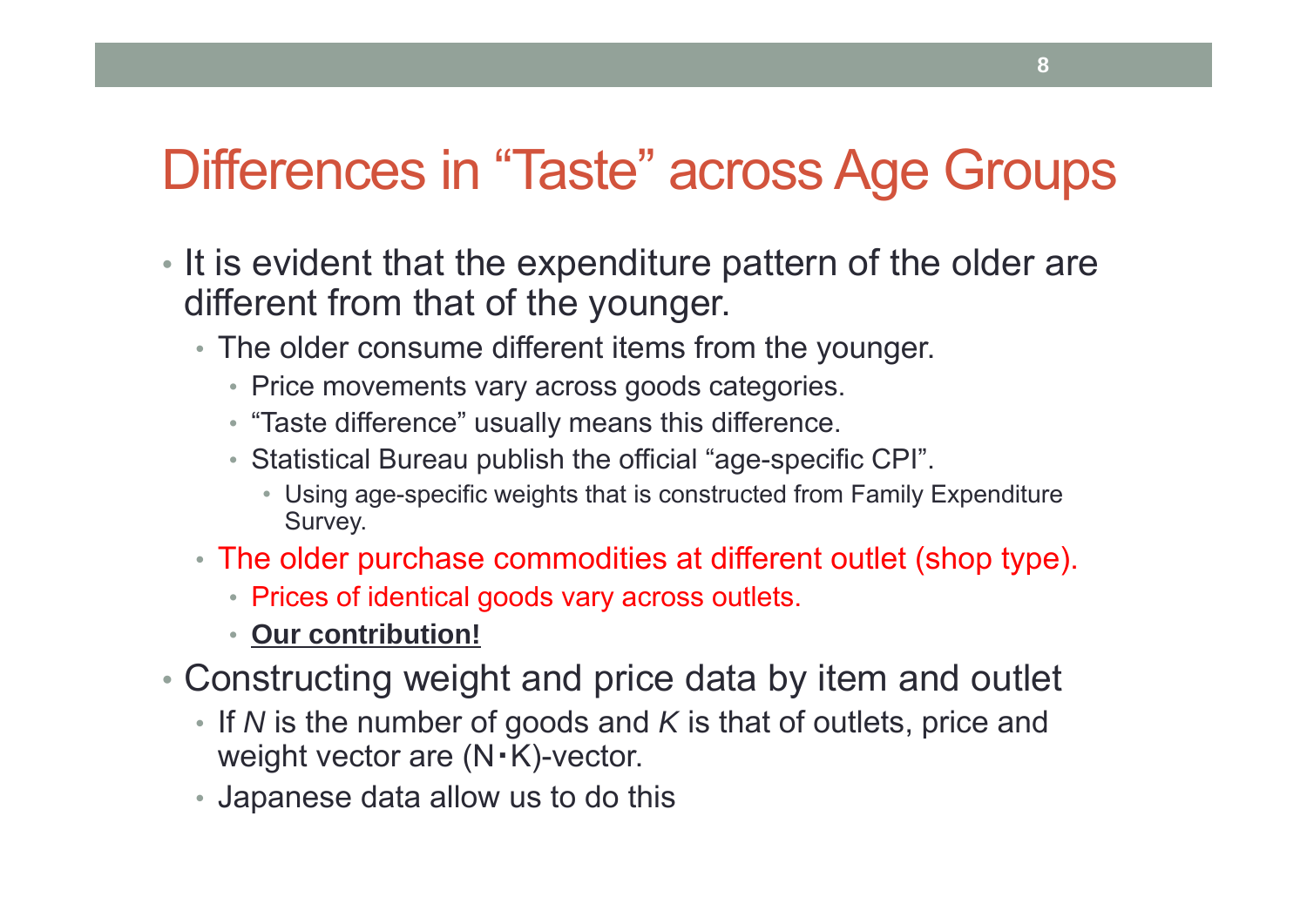#### Differences in "Taste" across Age Groups

- It is evident that the expenditure pattern of the older are different from that of the younger.
	- The older consume different items from the younger.
		- Price movements vary across goods categories.
		- "Taste difference" usually means this difference.
		- Statistical Bureau publish the official "age-specific CPI".
			- Using age-specific weights that is constructed from Family Expenditure Survey.
	- The older purchase commodities at different outlet (shop type).
		- Prices of identical goods vary across outlets.
		- **Our contribution!**
- Constructing weight and price data by item and outlet
	- If *N* is the number of goods and *K* is that of outlets, price and weight vector are (N・K)-vector.
	- Japanese data allow us to do this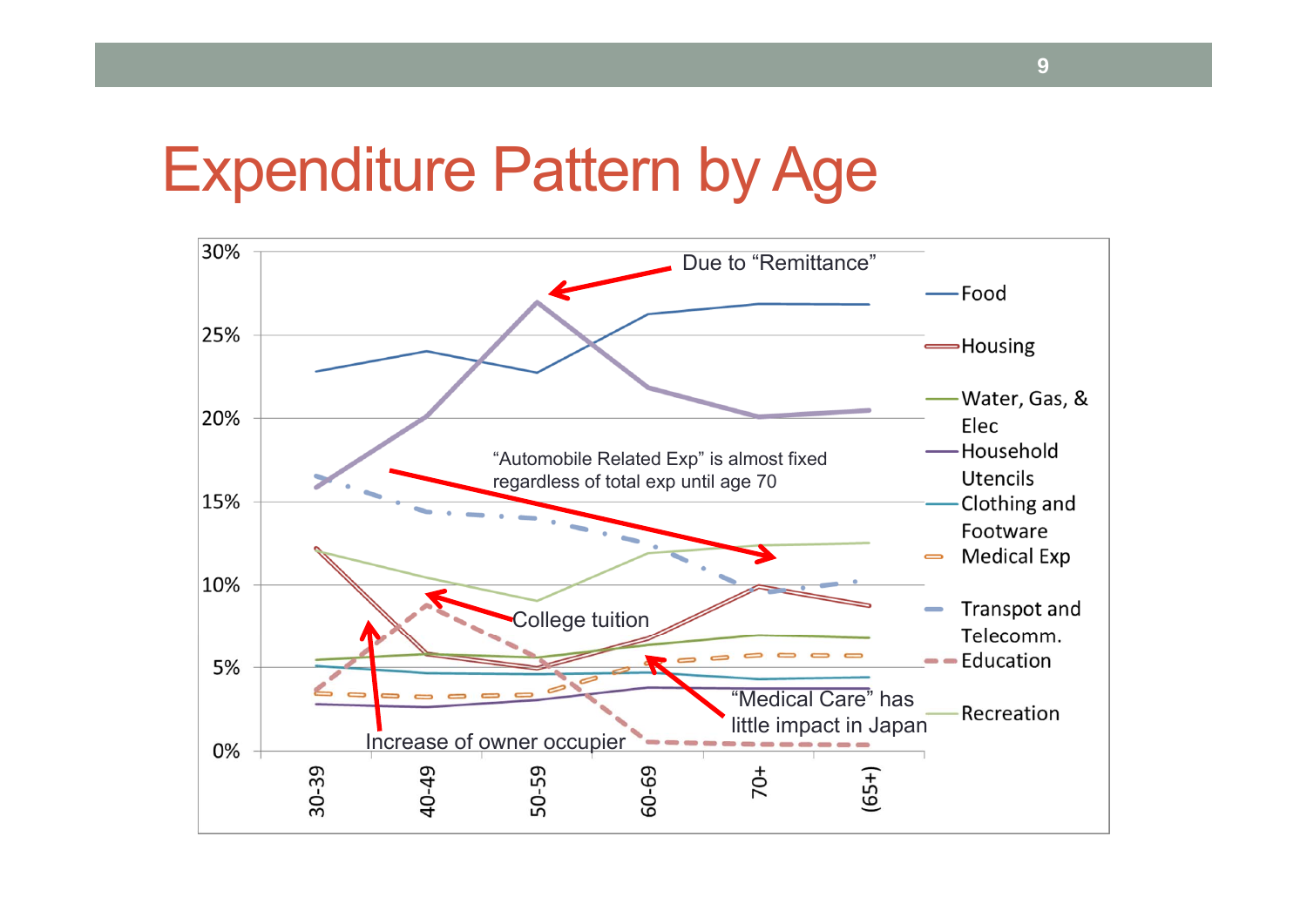#### Expenditure Pattern by Age

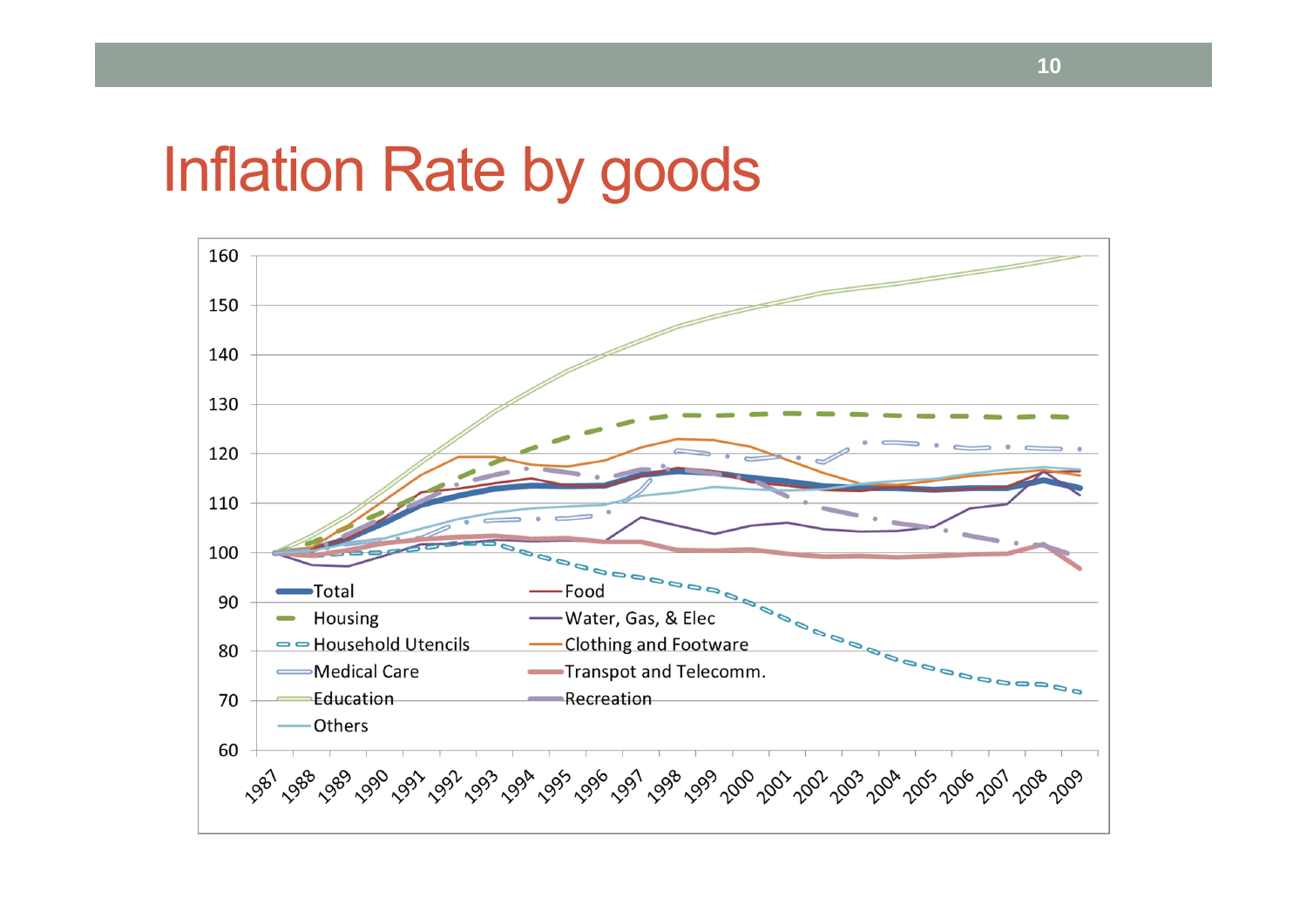## Inflation Rate by goods

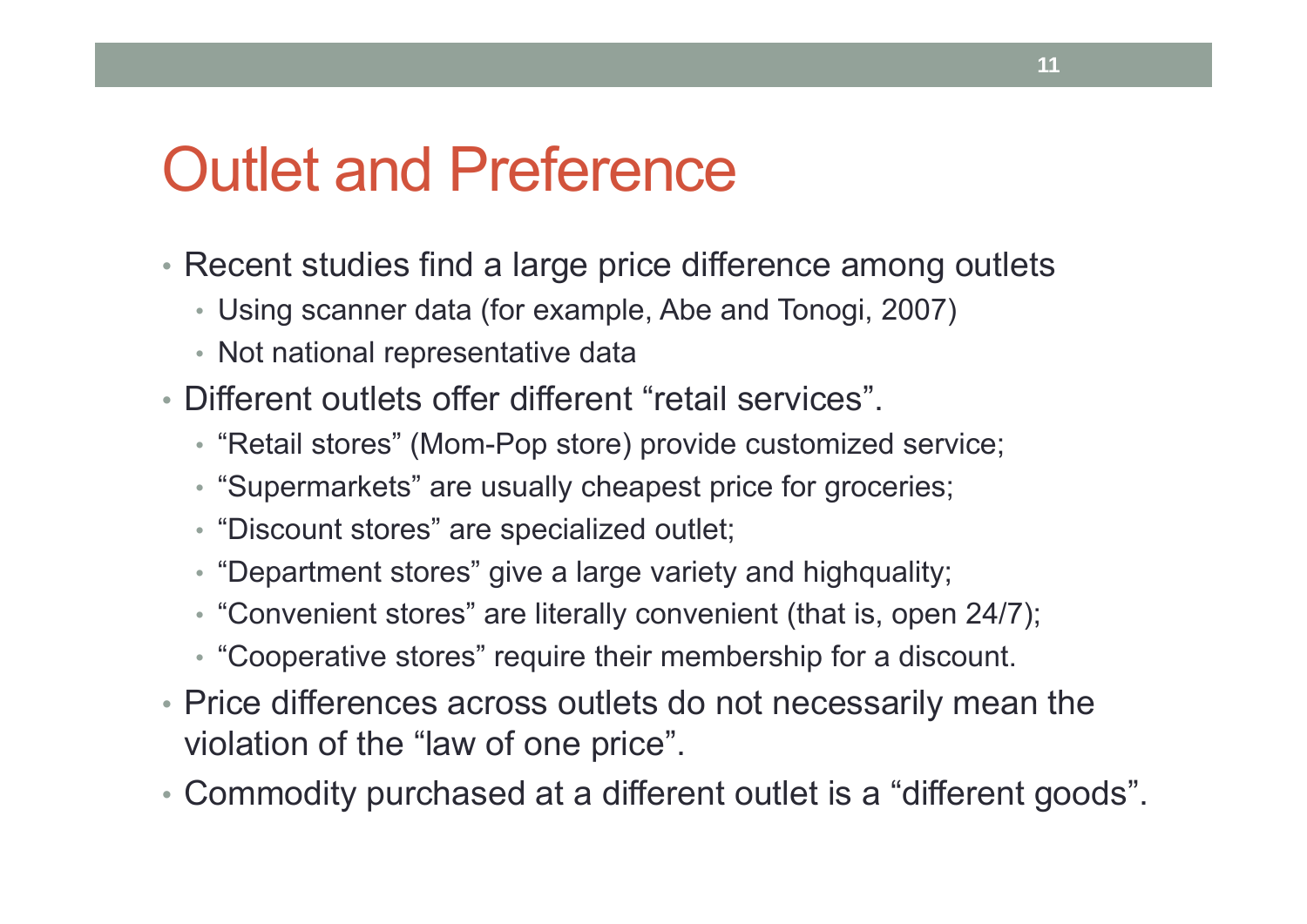## Outlet and Preference

- Recent studies find a large price difference among outlets
	- Using scanner data (for example, Abe and Tonogi, 2007)
	- Not national representative data
- Different outlets offer different "retail services".
	- "Retail stores" (Mom-Pop store) provide customized service;
	- "Supermarkets" are usually cheapest price for groceries;
	- "Discount stores" are specialized outlet;
	- "Department stores" give a large variety and highquality;
	- "Convenient stores" are literally convenient (that is, open 24/7);
	- "Cooperative stores" require their membership for a discount.
- Price differences across outlets do not necessarily mean the violation of the "law of one price".
- Commodity purchased at a different outlet is a "different goods".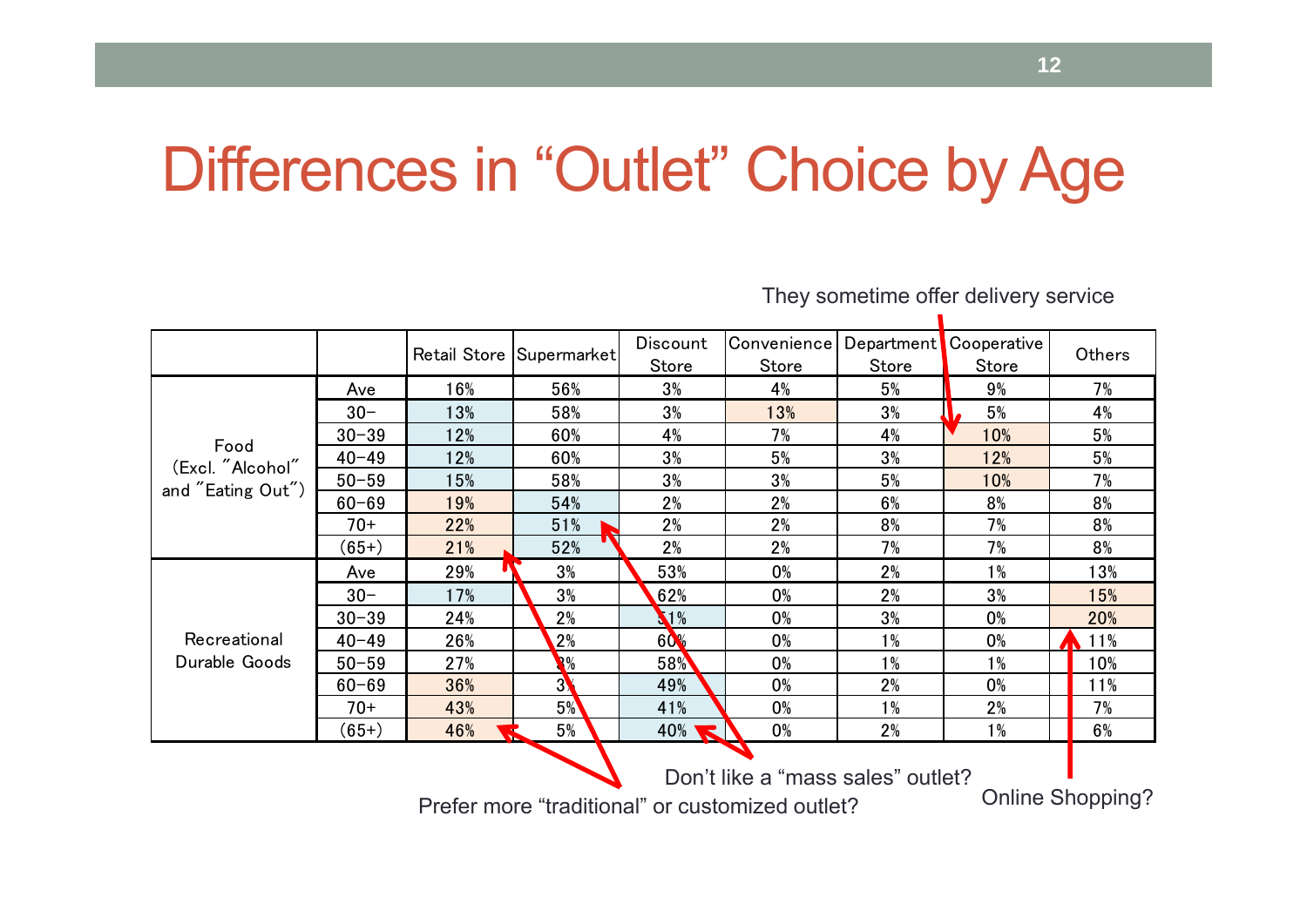# Differences in "Outlet" Choice by Age

Retail Store Supermarket Discount Convenience Department Cooperative Others Ave 16% 56% 3% 4% 5% 9% 7%  $30 -$ 13% | 58% | 3% | 13% | 5% | 4% 30-39 12% 60% 4% 7% 4% 10% 5%  $40 - 49$  12% 60% 3% 5% 3% 12% 5% 50-5915% | 58% | 3% | 5% | 10% | 7% 60-6919% | 54% | 2% | 6% | 8% | 8% 70+ $22\%$  | 51% | 2% | 2% | 8% | 7% | 8%  $(65+)$  21% 52% 2% 2% 7% 7% 8% Ave 29% 3% 53% 0% 2% 1% 13%  $30-$ 17% **\\ 3% \ \ 62% \ 0% \ 2% \ 3% \ 15%** 30-39 $24\%$   $2\%$   $1\%$   $1\%$  0%  $1\%$   $3\%$   $1\%$  0%  $1\%$  20% 40-4926% **28% 60% 0% 1% 0% A** 11% 50-5927% **1 3% 1 58% 1 0% 1 1% 1 1% 1 10%** 60-69 36% 3% 49% 0% 2% 0% 11% 70+ 43% 5% 41% 0% 1% 2% 7%  $(65+)$  46%  $5\%$  5% 40% 0% 2% 1% 1% 6% Food (Excl. "Alcohol" and "Eating Out") RecreationalDurable Goods Don't like a "mass sales" outlet?

They sometime offer delivery service

Prefer more "traditional" or customized outlet? Conline Shopping?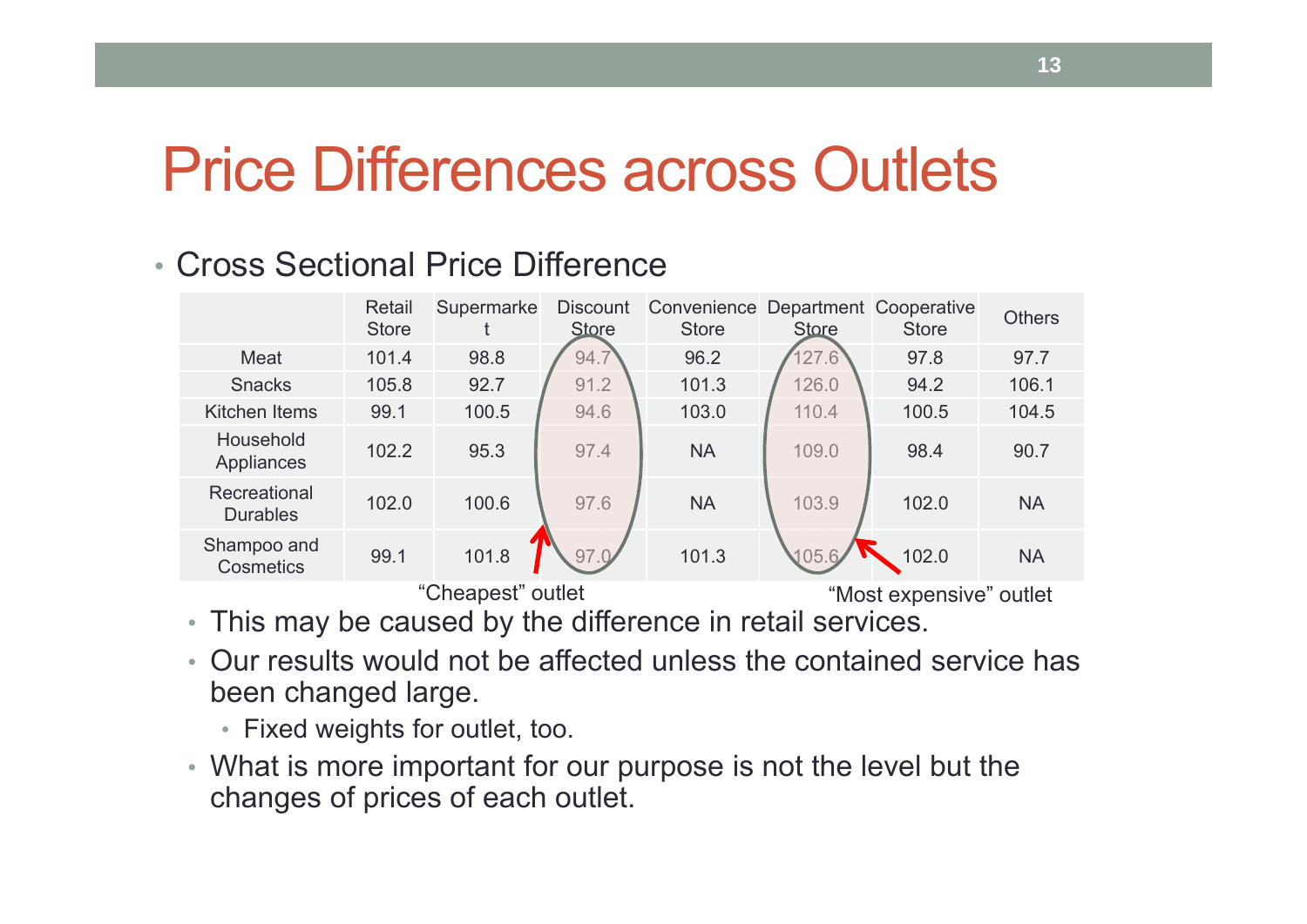## Price Differences across Outlets

#### • Cross Sectional Price Difference

|                                 | Retail<br><b>Store</b> | Supermarke              | <b>Discount</b><br><b>Store</b> | Convenience<br><b>Store</b> | <b>Store</b> | Department Cooperative<br><b>Store</b> | <b>Others</b> |
|---------------------------------|------------------------|-------------------------|---------------------------------|-----------------------------|--------------|----------------------------------------|---------------|
| Meat                            | 101.4                  | 98.8                    | 94.7                            | 96.2                        | 127.6        | 97.8                                   | 97.7          |
| <b>Snacks</b>                   | 105.8                  | 92.7                    | 91.2                            | 101.3                       | 126.0        | 94.2                                   | 106.1         |
| <b>Kitchen Items</b>            | 99.1                   | 100.5                   | 94.6                            | 103.0                       | 110.4        | 100.5                                  | 104.5         |
| Household<br>Appliances         | 102.2                  | 95.3                    | 97.4                            | <b>NA</b>                   | 109.0        | 98.4                                   | 90.7          |
| Recreational<br><b>Durables</b> | 102.0                  | 100.6                   | 97.6                            | <b>NA</b>                   | 103.9        | 102.0                                  | <b>NA</b>     |
| Shampoo and<br>Cosmetics        | 99.1                   | 101.8                   | 97.0                            | 101.3                       | 105.6        | 102.0                                  | <b>NA</b>     |
|                                 |                        | "Most expensive" outlet |                                 |                             |              |                                        |               |

• This may be caused by the difference in retail services.

- Our results would not be affected unless the contained service has been changed large.
	- Fixed weights for outlet, too.
- What is more important for our purpose is not the level but the changes of prices of each outlet.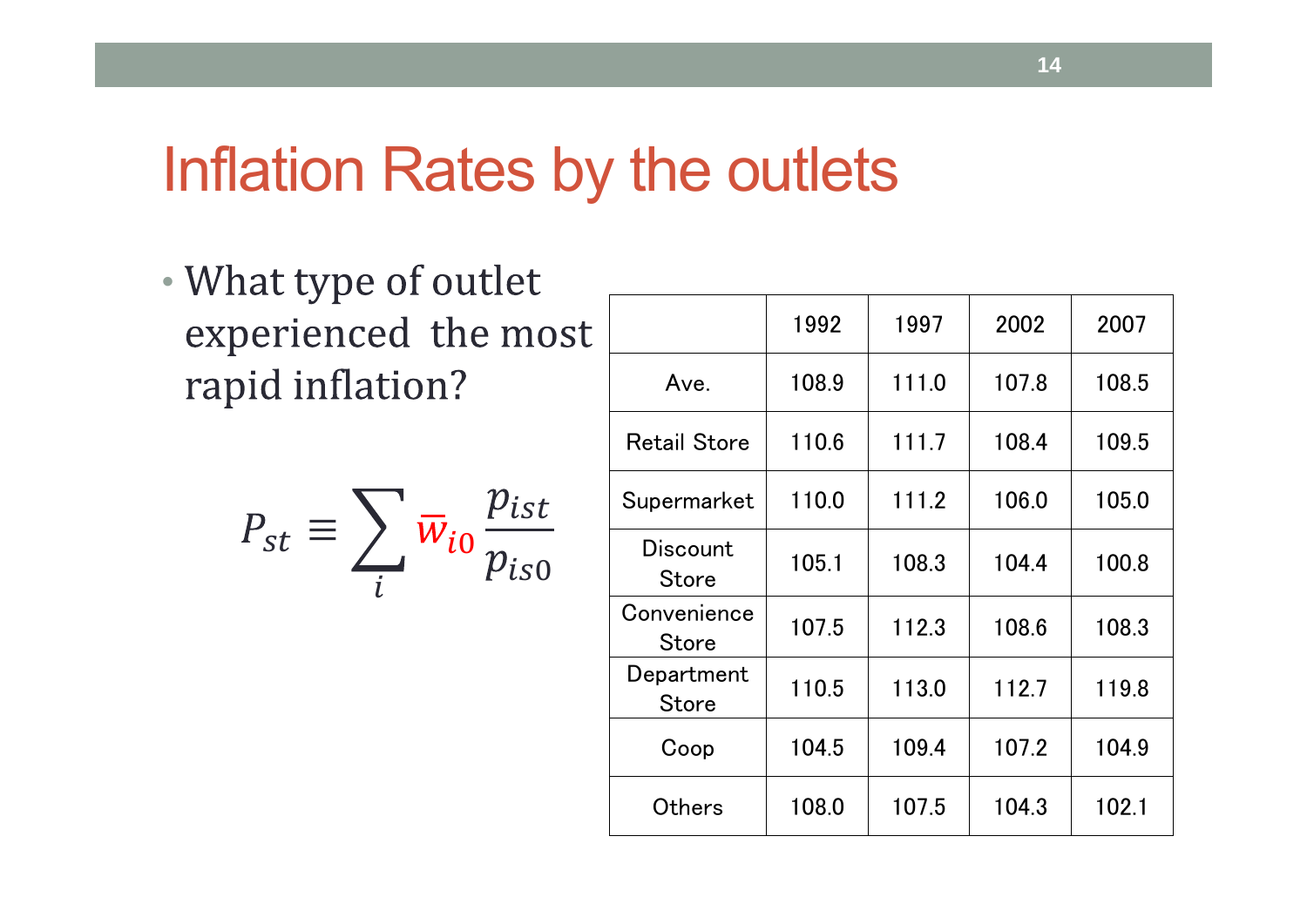#### Inflation Rates by the outlets

• experienced the most rapid inflation?

$$
P_{st} \equiv \sum_{i} \overline{w}_{i0} \frac{p_{ist}}{p_{is0}}
$$

|                            | 1992  | 1997  | 2002  | 2007  |
|----------------------------|-------|-------|-------|-------|
| Ave.                       | 108.9 | 111.0 | 107.8 | 108.5 |
| <b>Retail Store</b>        | 110.6 | 111.7 | 108.4 | 109.5 |
| Supermarket                | 110.0 | 111.2 | 106.0 | 105.0 |
| Discount<br><b>Store</b>   | 105.1 | 108.3 | 104.4 | 100.8 |
| Convenience<br>Store       | 107.5 | 112.3 | 108.6 | 108.3 |
| Department<br><b>Store</b> | 110.5 | 113.0 | 112.7 | 119.8 |
| Coop                       | 104.5 | 109.4 | 107.2 | 104.9 |
| Others                     | 108.0 | 107.5 | 104.3 | 102.1 |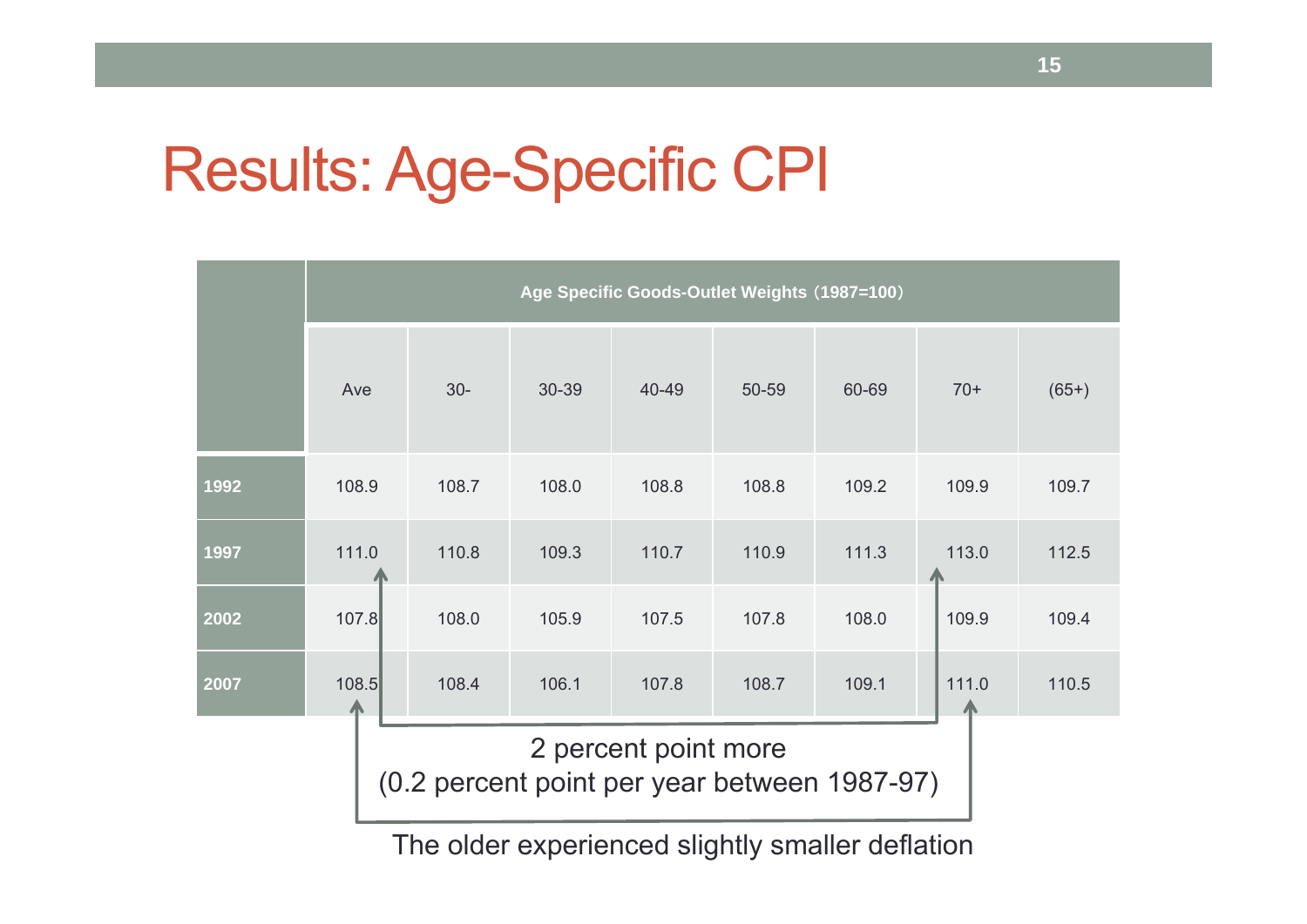# Results: Age-Specific CPI

|                                                                      | Age Specific Goods-Outlet Weights (1987=100) |       |       |       |       |       |       |         |  |  |
|----------------------------------------------------------------------|----------------------------------------------|-------|-------|-------|-------|-------|-------|---------|--|--|
|                                                                      | Ave                                          | $30-$ | 30-39 | 40-49 | 50-59 | 60-69 | $70+$ | $(65+)$ |  |  |
| 1992                                                                 | 108.9                                        | 108.7 | 108.0 | 108.8 | 108.8 | 109.2 | 109.9 | 109.7   |  |  |
| 1997                                                                 | 111.0                                        | 110.8 | 109.3 | 110.7 | 110.9 | 111.3 | 113.0 | 112.5   |  |  |
| 2002                                                                 | 107.8                                        | 108.0 | 105.9 | 107.5 | 107.8 | 108.0 | 109.9 | 109.4   |  |  |
| 2007                                                                 | 108.5                                        | 108.4 | 106.1 | 107.8 | 108.7 | 109.1 | 111.0 | 110.5   |  |  |
| 2 percent point more<br>(0.2 percent point per year between 1987-97) |                                              |       |       |       |       |       |       |         |  |  |

The older experienced slightly smaller deflation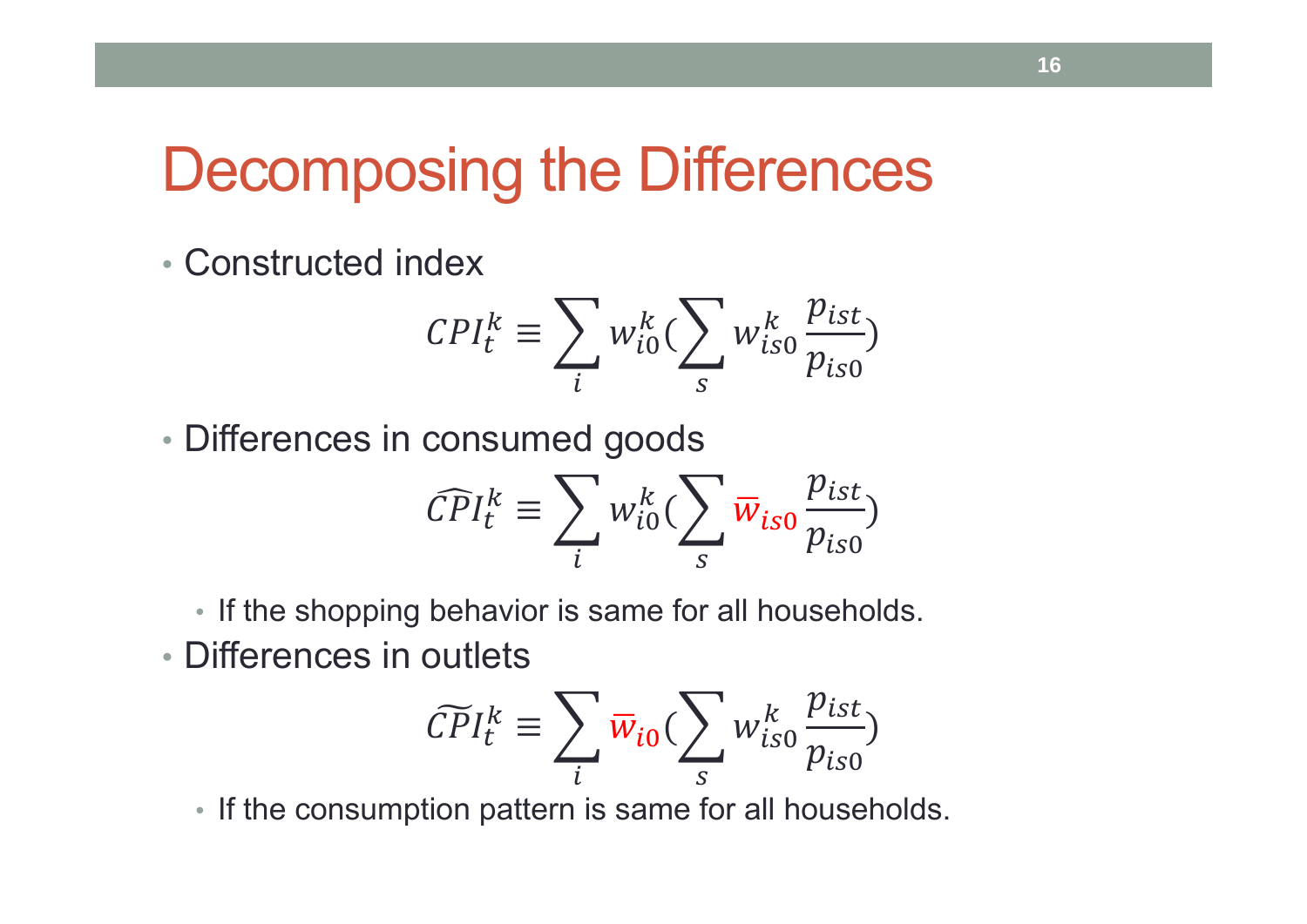## Decomposing the Differences

• Constructed index

$$
CPI_t^k \equiv \sum_i w_{i0}^k (\sum_s w_{is0}^k \frac{p_{ist}}{p_{is0}})
$$

• Differences in consumed goods

$$
\widehat{CPI}_t^k \equiv \sum_i w_{i0}^k (\sum_s \overline{w}_{is0} \frac{p_{ist}}{p_{is0}})
$$

• If the shopping behavior is same for all households.

• Differences in outlets

$$
\widetilde{CPI}_{t}^{k} \equiv \sum_{i} \overline{w}_{i0} (\sum_{s} w_{is0}^{k} \frac{p_{ist}}{p_{is0}})
$$

• If the consumption pattern is same for all households.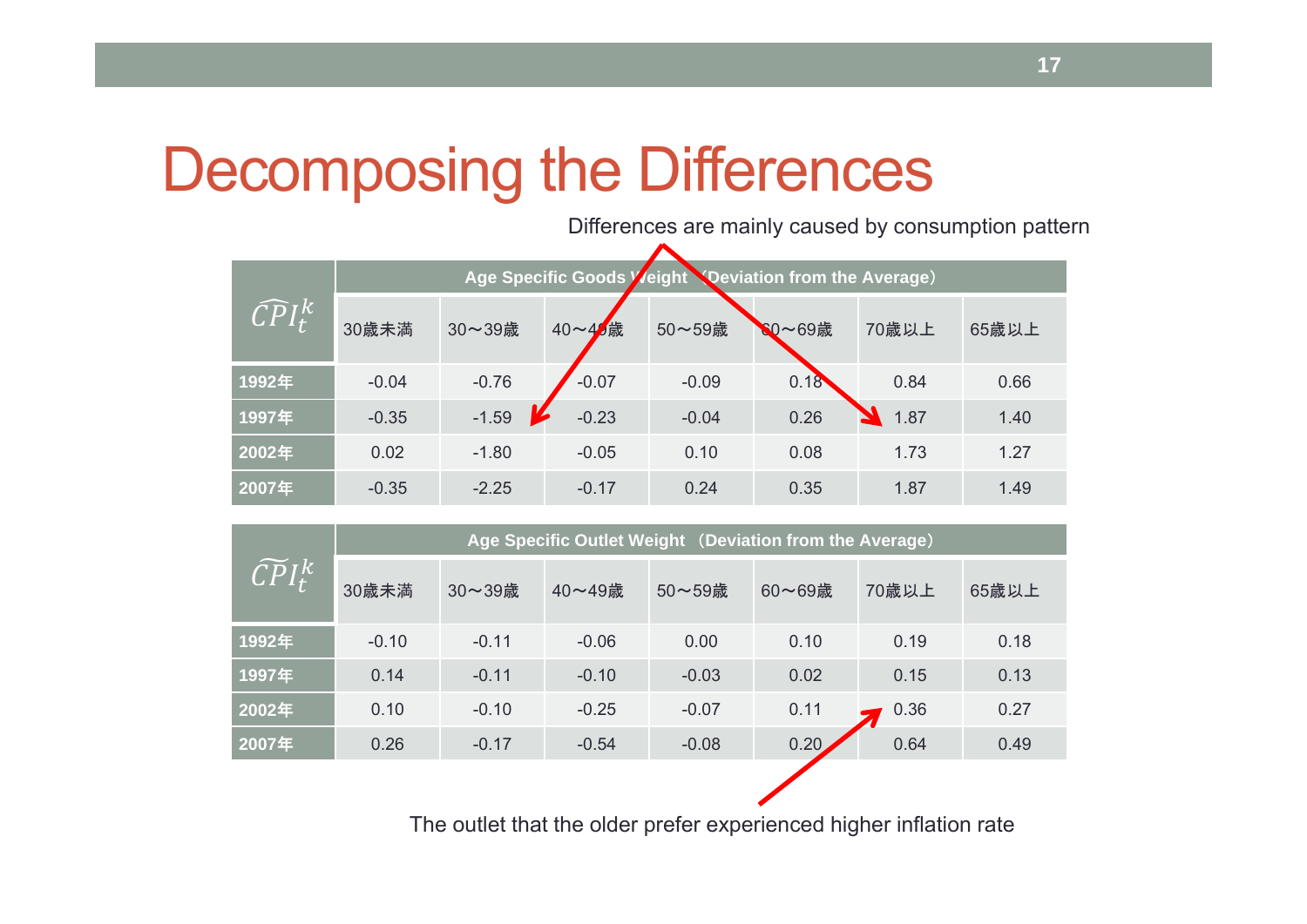# Decomposing the Differences

Differences are mainly caused by consumption pattern

| $\widehat{CPI}^k_t$ | Age Specific Goods Veight Noeviation from the Average) |         |         |         |        |       |       |  |  |
|---------------------|--------------------------------------------------------|---------|---------|---------|--------|-------|-------|--|--|
|                     | 30歳未満                                                  | 30~39歳  | 40~46歳  | 50~59歳  | SO~69歳 | 70歳以上 | 65歳以上 |  |  |
| 1992年               | $-0.04$                                                | $-0.76$ | $-0.07$ | $-0.09$ | 0.18   | 0.84  | 0.66  |  |  |
| 1997年               | $-0.35$                                                | $-1.59$ | $-0.23$ | $-0.04$ | 0.26   | 1.87  | 1.40  |  |  |
| 2002年               | 0.02                                                   | $-1.80$ | $-0.05$ | 0.10    | 0.08   | 1.73  | 1.27  |  |  |
| 2007年               | $-0.35$                                                | $-2.25$ | $-0.17$ | 0.24    | 0.35   | 1.87  | 1.49  |  |  |

|                       | Age Specific Outlet Weight (Deviation from the Average) |         |         |         |        |       |       |  |  |
|-----------------------|---------------------------------------------------------|---------|---------|---------|--------|-------|-------|--|--|
| $\widetilde{CPI}^k_t$ | 30歳未満                                                   | 30~39歳  | 40~49歳  | 50~59歳  | 60~69歳 | 70歳以上 | 65歳以上 |  |  |
| 1992年                 | $-0.10$                                                 | $-0.11$ | $-0.06$ | 0.00    | 0.10   | 0.19  | 0.18  |  |  |
| 1997年                 | 0.14                                                    | $-0.11$ | $-0.10$ | $-0.03$ | 0.02   | 0.15  | 0.13  |  |  |
| 2002年                 | 0.10                                                    | $-0.10$ | $-0.25$ | $-0.07$ | 0.11   | 0.36  | 0.27  |  |  |
| 2007年                 | 0.26                                                    | $-0.17$ | $-0.54$ | $-0.08$ | 0.20   | 0.64  | 0.49  |  |  |

The outlet that the older prefer experienced higher inflation rate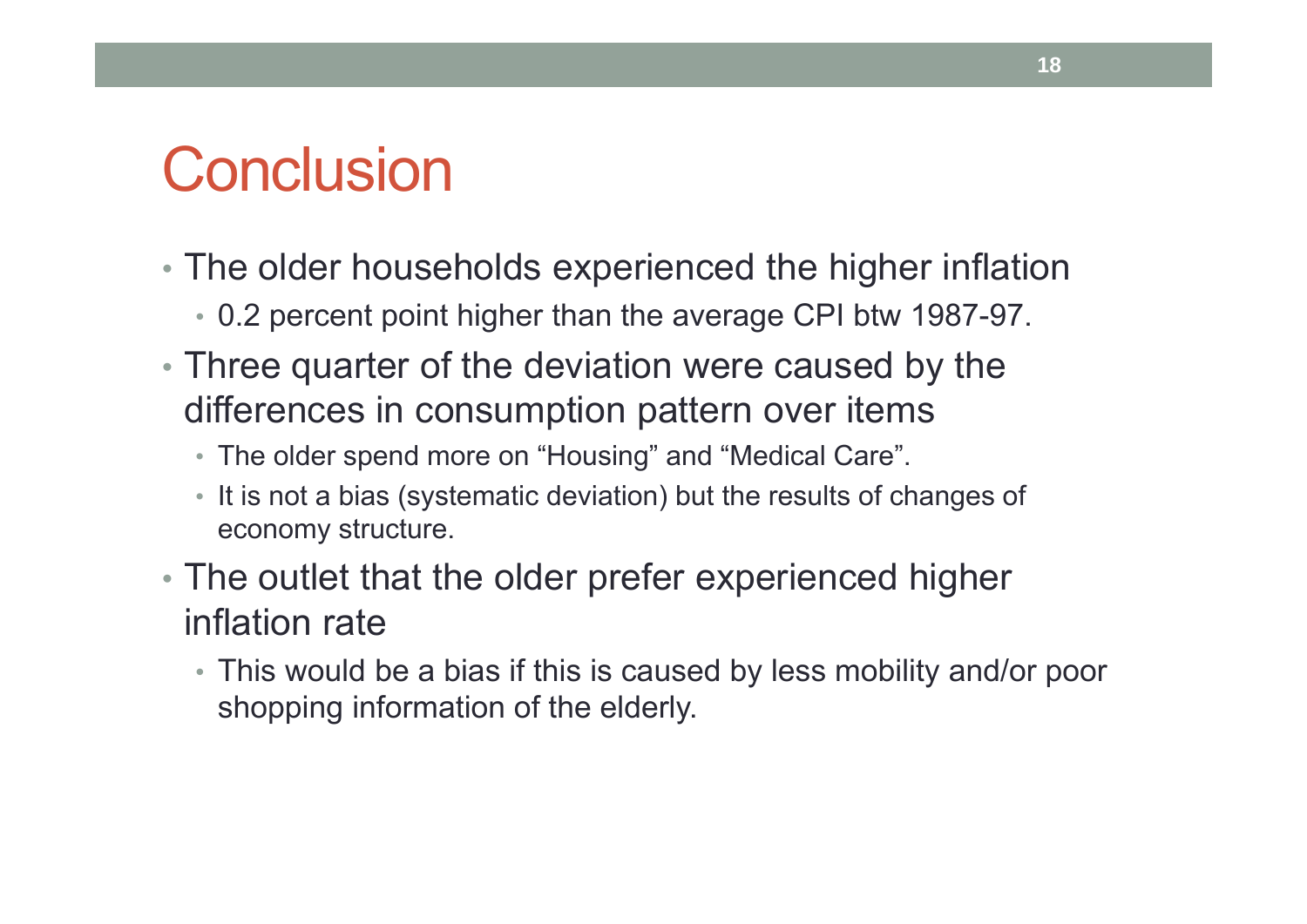## **Conclusion**

- The older households experienced the higher inflation
	- 0.2 percent point higher than the average CPI btw 1987-97.
- Three quarter of the deviation were caused by the differences in consumption pattern over items
	- The older spend more on "Housing" and "Medical Care".
	- It is not a bias (systematic deviation) but the results of changes of economy structure.
- The outlet that the older prefer experienced higher inflation rate
	- This would be a bias if this is caused by less mobility and/or poor shopping information of the elderly.